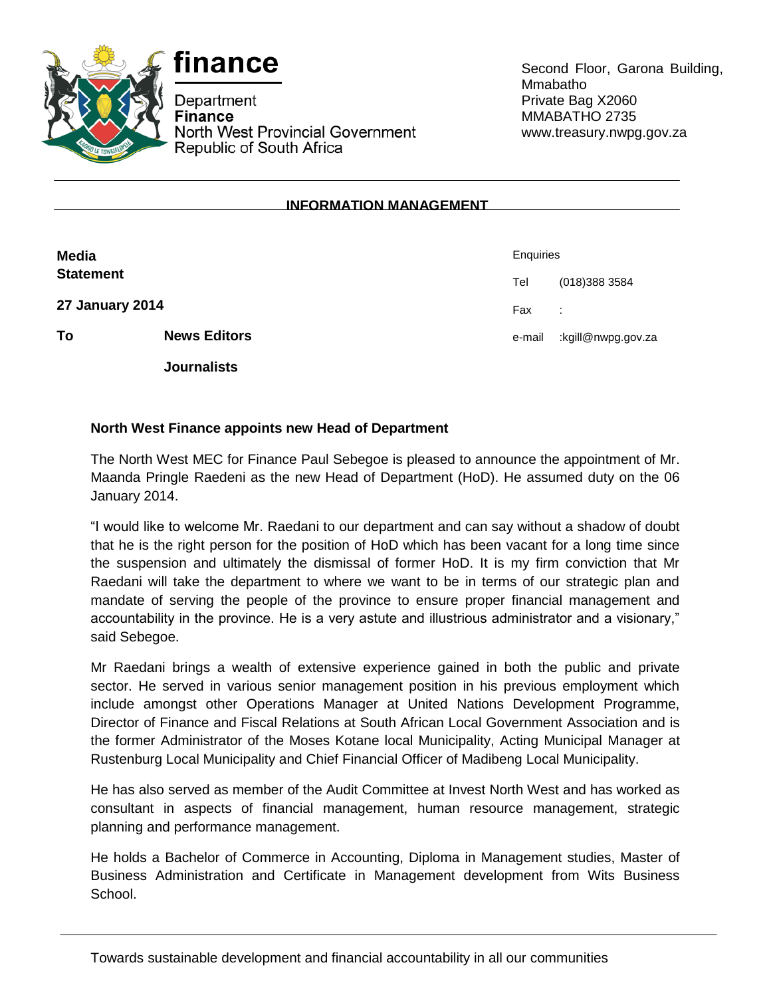



Department **Finance** North West Provincial Government Republic of South Africa

Second Floor, Garona Building, Mmabatho Private Bag X2060 MMABATHO 2735 www.treasury.nwpg.gov.za

## **INFORMATION MANAGEMENT**

| <b>Media</b><br><b>Statement</b> |                     | Enquiries |                    |
|----------------------------------|---------------------|-----------|--------------------|
|                                  |                     | Tel       | (018) 388 3584     |
| 27 January 2014                  |                     | Fax       | ÷                  |
| To                               | <b>News Editors</b> | e-mail    | kgill@nwpg.gov.za: |
|                                  | <b>Journalists</b>  |           |                    |

## **North West Finance appoints new Head of Department**

The North West MEC for Finance Paul Sebegoe is pleased to announce the appointment of Mr. Maanda Pringle Raedeni as the new Head of Department (HoD). He assumed duty on the 06 January 2014.

"I would like to welcome Mr. Raedani to our department and can say without a shadow of doubt that he is the right person for the position of HoD which has been vacant for a long time since the suspension and ultimately the dismissal of former HoD. It is my firm conviction that Mr Raedani will take the department to where we want to be in terms of our strategic plan and mandate of serving the people of the province to ensure proper financial management and accountability in the province. He is a very astute and illustrious administrator and a visionary," said Sebegoe.

Mr Raedani brings a wealth of extensive experience gained in both the public and private sector. He served in various senior management position in his previous employment which include amongst other Operations Manager at United Nations Development Programme, Director of Finance and Fiscal Relations at South African Local Government Association and is the former Administrator of the Moses Kotane local Municipality, Acting Municipal Manager at Rustenburg Local Municipality and Chief Financial Officer of Madibeng Local Municipality.

He has also served as member of the Audit Committee at Invest North West and has worked as consultant in aspects of financial management, human resource management, strategic planning and performance management.

He holds a Bachelor of Commerce in Accounting, Diploma in Management studies, Master of Business Administration and Certificate in Management development from Wits Business School.